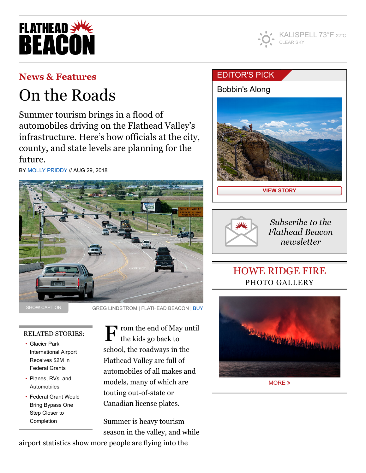



## **[News & Features](https://flatheadbeacon.com/section/news-features/)**

# On the Roads

Summer tourism brings in a flood of automobiles driving on the Flathead Valley's infrastructure. Here's how officials at the city, county, and state levels are planning for the future.

BY [MOLLY PRIDDY](https://flatheadbeacon.com/author/mollypriddy/) // AUG 29, 2018



SHOW CAPTION

GREG LINDSTROM | FLATHEAD BEACON | [BUY](https://flatheadbeacon.com/purchase-photo/?pictype=image&picid=70283)

### RELATED STORIES:

- Glacier Park [International Airport](https://flatheadbeacon.com/2018/08/03/glacier-park-international-airport-receives-2m-federal-grants/) Receives \$2M in Federal Grants
- [Planes, RVs, and](https://flatheadbeacon.com/2018/07/25/planes-rvs-automobiles/) Automobiles
- [Federal Grant Would](https://flatheadbeacon.com/2018/07/15/federal-grant-bring-bypass-one-step-closer-completion/) Bring Bypass One Step Closer to Completion

 $\Gamma$  rom the end of May until the kids go back to school, the roadways in the Flathead Valley are full of automobiles of all makes and models, many of which are touting out-of-state or Canadian license plates.

Summer is heavy tourism season in the valley, and while

airport statistics show more people are flying into the

## [EDITOR'S](https://flatheadbeacon.com/2018/08/29/bobbin-along/) PICK

[Bobbin's Along](https://flatheadbeacon.com/2018/08/29/bobbin-along/)



**[VIEW STORY](https://flatheadbeacon.com/2018/08/29/bobbin-along/)**



Subscribe to the **Flathead Beacon** newsletter

# HOWE RIDGE FIRE PHOTO GALLERY



[MORE](https://flatheadbeacon.com/galleries/howe-ridge-fire/) »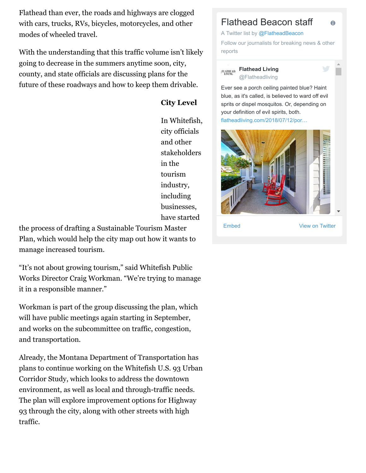Flathead than ever, the roads and highways are clogged with cars, trucks, RVs, bicycles, motorcycles, and other modes of wheeled travel.

With the understanding that this traffic volume isn't likely going to decrease in the summers anytime soon, city, county, and state officials are discussing plans for the future of these roadways and how to keep them drivable.

## **City Level**

In Whitefish, city officials and other stakeholders in the tourism industry, including businesses, have started

the process of drafting a Sustainable Tourism Master Plan, which would help the city map out how it wants to manage increased tourism.

"It's not about growing tourism," said Whitefish Public Works Director Craig Workman. "We're trying to manage it in a responsible manner."

Workman is part of the group discussing the plan, which will have public meetings again starting in September, and works on the subcommittee on traffic, congestion, and transportation.

Already, the Montana Department of Transportation has plans to continue working on the Whitefish U.S. 93 Urban Corridor Study, which looks to address the downtown environment, as well as local and through-traffic needs. The plan will explore improvement options for Highway 93 through the city, along with other streets with high traffic.

## Flathead Beacon staff

A Twitter list by [@FlatheadBeacon](https://twitter.com/FlatheadBeacon)

Follow our journalists for breaking news & other reports

**[Flathead Living](https://twitter.com/Flatheadliving) FLATHEAD** @Flatheadliving

Ever see a porch ceiling painted blue? Haint blue, as it's called, is believed to ward off evil sprits or dispel mosquitos. Or, depending on your definition of evil spirits, both. [flatheadliving.com/2018/07/12/por…](https://t.co/V5rsJCyUHE)



[Embed](https://publish.twitter.com/?url=https%3A%2F%2Ftwitter.com%2FFlatheadBeacon%2Flists%2Fflathead-beacon-staff) [View on Twitter](https://twitter.com/FlatheadBeacon/lists/flathead-beacon-staff)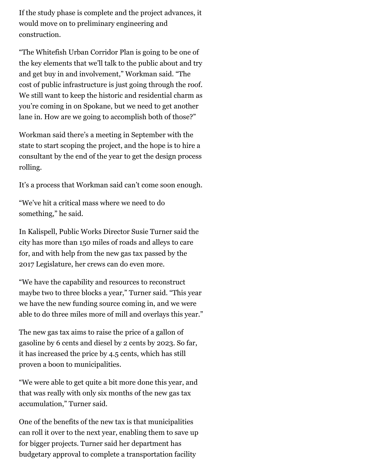If the study phase is complete and the project advances, it would move on to preliminary engineering and construction.

"The Whitefish Urban Corridor Plan is going to be one of the key elements that we'll talk to the public about and try and get buy in and involvement," Workman said. "The cost of public infrastructure is just going through the roof. We still want to keep the historic and residential charm as you're coming in on Spokane, but we need to get another lane in. How are we going to accomplish both of those?"

Workman said there's a meeting in September with the state to start scoping the project, and the hope is to hire a consultant by the end of the year to get the design process rolling.

It's a process that Workman said can't come soon enough.

"We've hit a critical mass where we need to do something," he said.

In Kalispell, Public Works Director Susie Turner said the city has more than 150 miles of roads and alleys to care for, and with help from the new gas tax passed by the 2017 Legislature, her crews can do even more.

"We have the capability and resources to reconstruct maybe two to three blocks a year," Turner said. "This year we have the new funding source coming in, and we were able to do three miles more of mill and overlays this year."

The new gas tax aims to raise the price of a gallon of gasoline by 6 cents and diesel by 2 cents by 2023. So far, it has increased the price by 4.5 cents, which has still proven a boon to municipalities.

"We were able to get quite a bit more done this year, and that was really with only six months of the new gas tax accumulation," Turner said.

One of the benefits of the new tax is that municipalities can roll it over to the next year, enabling them to save up for bigger projects. Turner said her department has budgetary approval to complete a transportation facility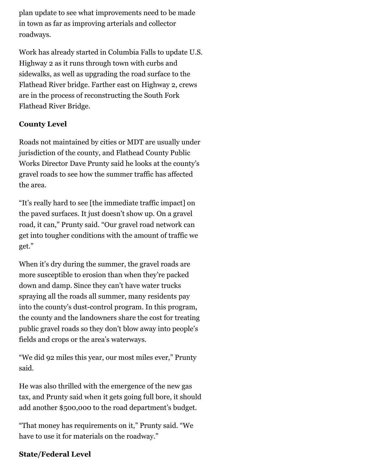plan update to see what improvements need to be made in town as far as improving arterials and collector roadways.

Work has already started in Columbia Falls to update U.S. Highway 2 as it runs through town with curbs and sidewalks, as well as upgrading the road surface to the Flathead River bridge. Farther east on Highway 2, crews are in the process of reconstructing the South Fork Flathead River Bridge.

## **County Level**

Roads not maintained by cities or MDT are usually under jurisdiction of the county, and Flathead County Public Works Director Dave Prunty said he looks at the county's gravel roads to see how the summer traffic has affected the area.

"It's really hard to see [the immediate traffic impact] on the paved surfaces. It just doesn't show up. On a gravel road, it can," Prunty said. "Our gravel road network can get into tougher conditions with the amount of traffic we get."

When it's dry during the summer, the gravel roads are more susceptible to erosion than when they're packed down and damp. Since they can't have water trucks spraying all the roads all summer, many residents pay into the county's dust-control program. In this program, the county and the landowners share the cost for treating public gravel roads so they don't blow away into people's fields and crops or the area's waterways.

"We did 92 miles this year, our most miles ever," Prunty said.

He was also thrilled with the emergence of the new gas tax, and Prunty said when it gets going full bore, it should add another \$500,000 to the road department's budget.

"That money has requirements on it," Prunty said. "We have to use it for materials on the roadway."

## **State/Federal Level**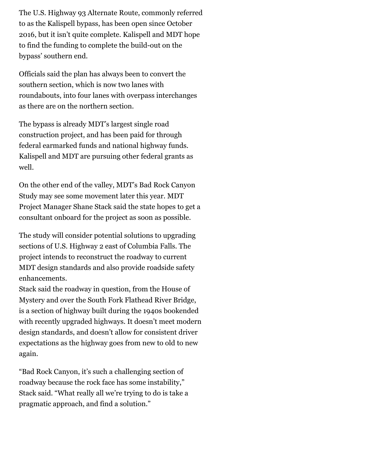The U.S. Highway 93 Alternate Route, commonly referred to as the Kalispell bypass, has been open since October 2016, but it isn't quite complete. Kalispell and MDT hope to find the funding to complete the build-out on the bypass' southern end.

Officials said the plan has always been to convert the southern section, which is now two lanes with roundabouts, into four lanes with overpass interchanges as there are on the northern section.

The bypass is already MDT's largest single road construction project, and has been paid for through federal earmarked funds and national highway funds. Kalispell and MDT are pursuing other federal grants as well.

On the other end of the valley, MDT's Bad Rock Canyon Study may see some movement later this year. MDT Project Manager Shane Stack said the state hopes to get a consultant onboard for the project as soon as possible.

The study will consider potential solutions to upgrading sections of U.S. Highway 2 east of Columbia Falls. The project intends to reconstruct the roadway to current MDT design standards and also provide roadside safety enhancements.

Stack said the roadway in question, from the House of Mystery and over the South Fork Flathead River Bridge, is a section of highway built during the 1940s bookended with recently upgraded highways. It doesn't meet modern design standards, and doesn't allow for consistent driver expectations as the highway goes from new to old to new again.

"Bad Rock Canyon, it's such a challenging section of roadway because the rock face has some instability," Stack said. "What really all we're trying to do is take a pragmatic approach, and find a solution."